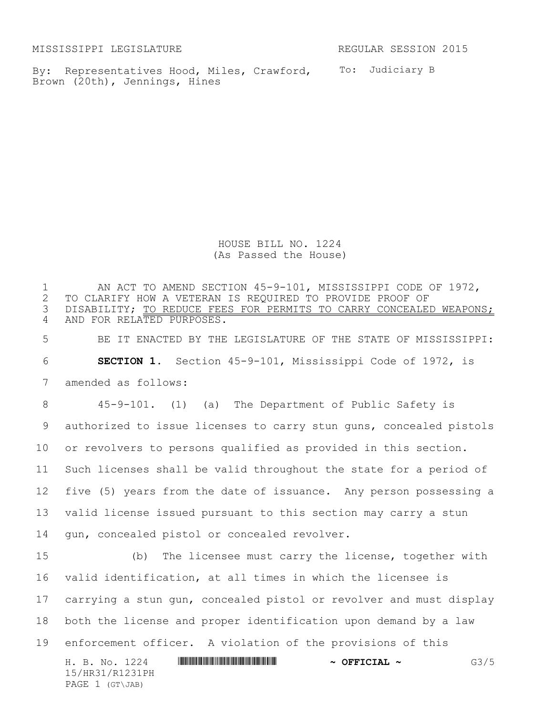MISSISSIPPI LEGISLATURE REGULAR SESSION 2015

By: Representatives Hood, Miles, Crawford, To: Judiciary B Brown (20th), Jennings, Hines

HOUSE BILL NO. 1224 (As Passed the House)

H. B. No. 1224 \*HR31/R1231PH\* **~ OFFICIAL ~** G3/5 15/HR31/R1231PH PAGE 1 (GT\JAB) 1 AN ACT TO AMEND SECTION 45-9-101, MISSISSIPPI CODE OF 1972,<br>2 TO CLARIFY HOW A VETERAN IS REOUIRED TO PROVIDE PROOF OF TO CLARIFY HOW A VETERAN IS REQUIRED TO PROVIDE PROOF OF DISABILITY; TO REDUCE FEES FOR PERMITS TO CARRY CONCEALED WEAPONS; AND FOR RELATED PURPOSES. BE IT ENACTED BY THE LEGISLATURE OF THE STATE OF MISSISSIPPI: **SECTION 1.** Section 45-9-101, Mississippi Code of 1972, is amended as follows: 45-9-101. (1) (a) The Department of Public Safety is authorized to issue licenses to carry stun guns, concealed pistols or revolvers to persons qualified as provided in this section. Such licenses shall be valid throughout the state for a period of five (5) years from the date of issuance. Any person possessing a valid license issued pursuant to this section may carry a stun gun, concealed pistol or concealed revolver. (b) The licensee must carry the license, together with valid identification, at all times in which the licensee is carrying a stun gun, concealed pistol or revolver and must display both the license and proper identification upon demand by a law enforcement officer. A violation of the provisions of this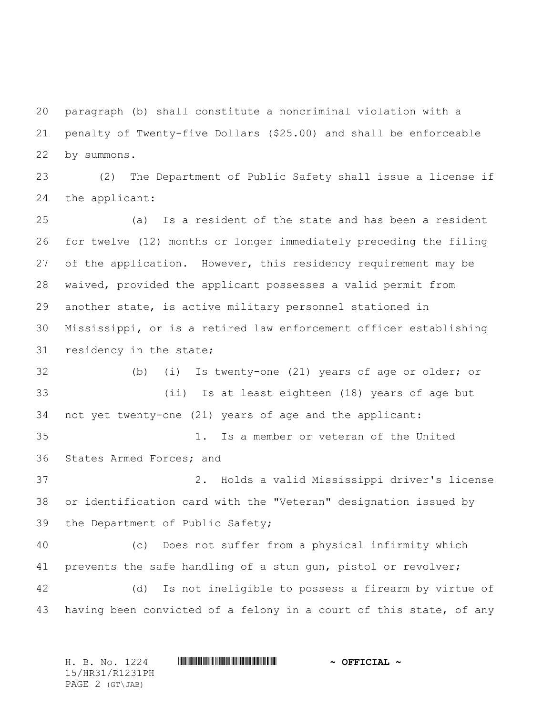paragraph (b) shall constitute a noncriminal violation with a penalty of Twenty-five Dollars (\$25.00) and shall be enforceable by summons.

 (2) The Department of Public Safety shall issue a license if the applicant:

 (a) Is a resident of the state and has been a resident for twelve (12) months or longer immediately preceding the filing 27 of the application. However, this residency requirement may be waived, provided the applicant possesses a valid permit from another state, is active military personnel stationed in Mississippi, or is a retired law enforcement officer establishing residency in the state;

 (b) (i) Is twenty-one (21) years of age or older; or (ii) Is at least eighteen (18) years of age but not yet twenty-one (21) years of age and the applicant: 1. Is a member or veteran of the United States Armed Forces; and 2. Holds a valid Mississippi driver's license or identification card with the "Veteran" designation issued by the Department of Public Safety;

 (c) Does not suffer from a physical infirmity which prevents the safe handling of a stun gun, pistol or revolver; (d) Is not ineligible to possess a firearm by virtue of having been convicted of a felony in a court of this state, of any

H. B. No. 1224 **HR31/R1231PH \* \* OFFICIAL ~** 15/HR31/R1231PH PAGE 2 (GT\JAB)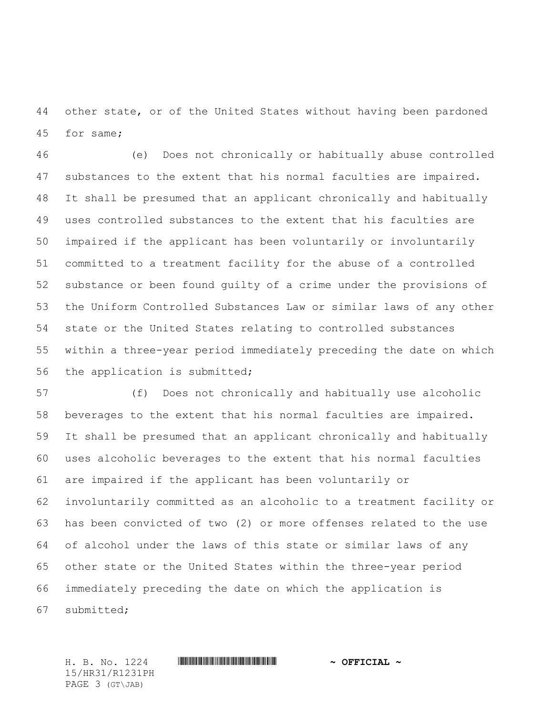other state, or of the United States without having been pardoned for same;

 (e) Does not chronically or habitually abuse controlled substances to the extent that his normal faculties are impaired. It shall be presumed that an applicant chronically and habitually uses controlled substances to the extent that his faculties are impaired if the applicant has been voluntarily or involuntarily committed to a treatment facility for the abuse of a controlled substance or been found guilty of a crime under the provisions of the Uniform Controlled Substances Law or similar laws of any other state or the United States relating to controlled substances within a three-year period immediately preceding the date on which the application is submitted;

 (f) Does not chronically and habitually use alcoholic beverages to the extent that his normal faculties are impaired. It shall be presumed that an applicant chronically and habitually uses alcoholic beverages to the extent that his normal faculties are impaired if the applicant has been voluntarily or involuntarily committed as an alcoholic to a treatment facility or has been convicted of two (2) or more offenses related to the use of alcohol under the laws of this state or similar laws of any other state or the United States within the three-year period immediately preceding the date on which the application is submitted;

H. B. No. 1224 **HR31/R1231PH \* \* OFFICIAL ~** 15/HR31/R1231PH PAGE 3 (GT\JAB)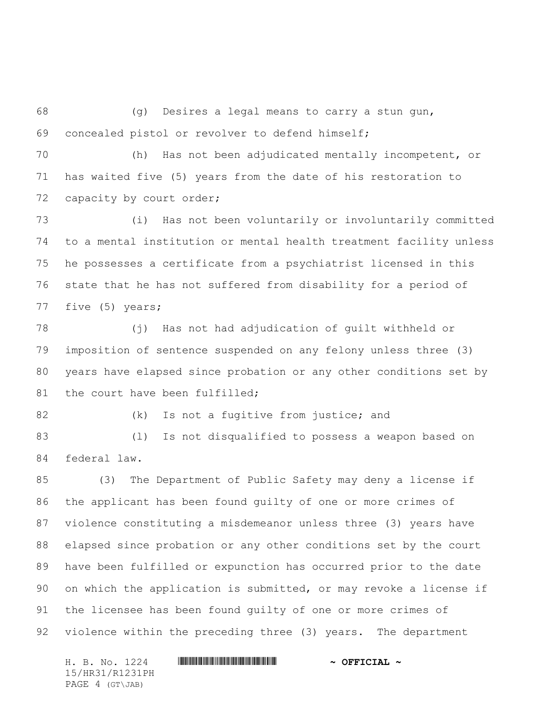(g) Desires a legal means to carry a stun gun, concealed pistol or revolver to defend himself;

 (h) Has not been adjudicated mentally incompetent, or has waited five (5) years from the date of his restoration to 72 capacity by court order;

 (i) Has not been voluntarily or involuntarily committed to a mental institution or mental health treatment facility unless he possesses a certificate from a psychiatrist licensed in this state that he has not suffered from disability for a period of five (5) years;

 (j) Has not had adjudication of guilt withheld or imposition of sentence suspended on any felony unless three (3) years have elapsed since probation or any other conditions set by 81 the court have been fulfilled;

82 (k) Is not a fugitive from justice; and

 (l) Is not disqualified to possess a weapon based on federal law.

 (3) The Department of Public Safety may deny a license if the applicant has been found guilty of one or more crimes of violence constituting a misdemeanor unless three (3) years have elapsed since probation or any other conditions set by the court have been fulfilled or expunction has occurred prior to the date on which the application is submitted, or may revoke a license if the licensee has been found guilty of one or more crimes of violence within the preceding three (3) years. The department

15/HR31/R1231PH PAGE 4 (GT\JAB)

H. B. No. 1224 \*HR31/R1231PH\* **~ OFFICIAL ~**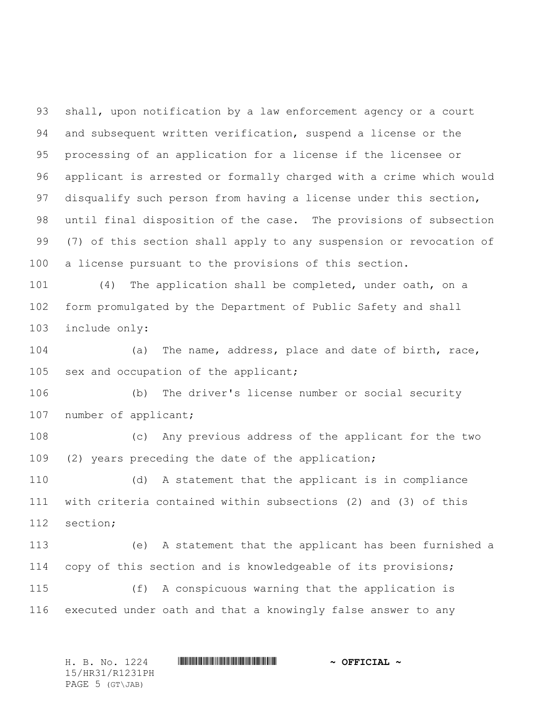shall, upon notification by a law enforcement agency or a court and subsequent written verification, suspend a license or the processing of an application for a license if the licensee or applicant is arrested or formally charged with a crime which would 97 disqualify such person from having a license under this section, until final disposition of the case. The provisions of subsection (7) of this section shall apply to any suspension or revocation of a license pursuant to the provisions of this section.

 (4) The application shall be completed, under oath, on a form promulgated by the Department of Public Safety and shall include only:

 (a) The name, address, place and date of birth, race, sex and occupation of the applicant;

 (b) The driver's license number or social security 107 number of applicant;

 (c) Any previous address of the applicant for the two (2) years preceding the date of the application;

 (d) A statement that the applicant is in compliance with criteria contained within subsections (2) and (3) of this section;

 (e) A statement that the applicant has been furnished a copy of this section and is knowledgeable of its provisions;

 (f) A conspicuous warning that the application is executed under oath and that a knowingly false answer to any

H. B. No. 1224 \*HR31/R1231PH\* **~ OFFICIAL ~** 15/HR31/R1231PH PAGE 5 (GT\JAB)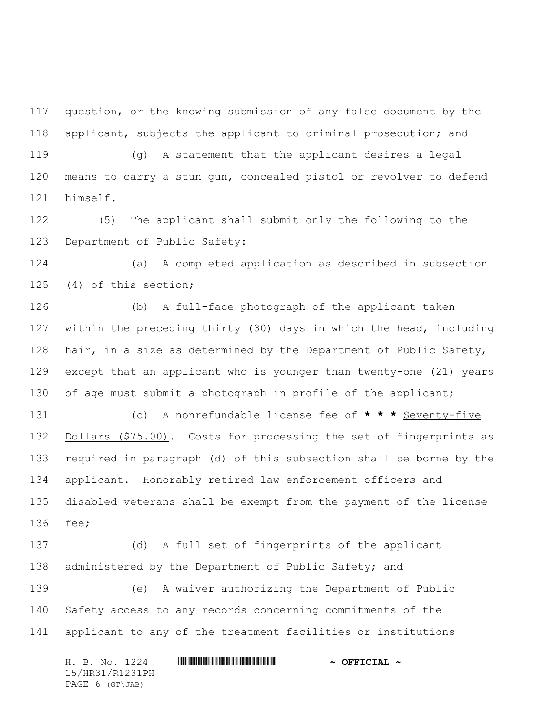question, or the knowing submission of any false document by the applicant, subjects the applicant to criminal prosecution; and

 (g) A statement that the applicant desires a legal means to carry a stun gun, concealed pistol or revolver to defend himself.

 (5) The applicant shall submit only the following to the Department of Public Safety:

 (a) A completed application as described in subsection (4) of this section;

 (b) A full-face photograph of the applicant taken within the preceding thirty (30) days in which the head, including 128 hair, in a size as determined by the Department of Public Safety, except that an applicant who is younger than twenty-one (21) years 130 of age must submit a photograph in profile of the applicant;

 (c) A nonrefundable license fee of **\* \* \*** Seventy-five 132 Dollars (\$75.00). Costs for processing the set of fingerprints as required in paragraph (d) of this subsection shall be borne by the applicant. Honorably retired law enforcement officers and disabled veterans shall be exempt from the payment of the license fee;

 (d) A full set of fingerprints of the applicant 138 administered by the Department of Public Safety; and (e) A waiver authorizing the Department of Public Safety access to any records concerning commitments of the applicant to any of the treatment facilities or institutions

H. B. No. 1224 **HR31/R1231PH \* \* OFFICIAL ~** 15/HR31/R1231PH PAGE 6 (GT\JAB)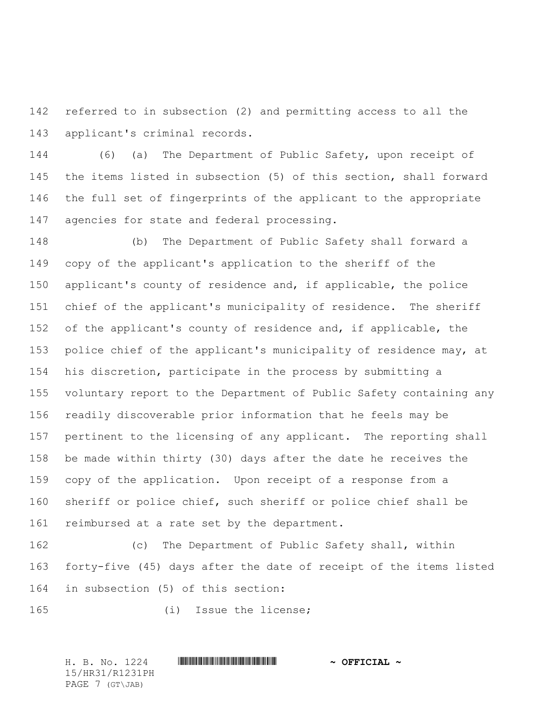referred to in subsection (2) and permitting access to all the applicant's criminal records.

 (6) (a) The Department of Public Safety, upon receipt of the items listed in subsection (5) of this section, shall forward the full set of fingerprints of the applicant to the appropriate agencies for state and federal processing.

 (b) The Department of Public Safety shall forward a copy of the applicant's application to the sheriff of the applicant's county of residence and, if applicable, the police chief of the applicant's municipality of residence. The sheriff of the applicant's county of residence and, if applicable, the police chief of the applicant's municipality of residence may, at his discretion, participate in the process by submitting a voluntary report to the Department of Public Safety containing any readily discoverable prior information that he feels may be pertinent to the licensing of any applicant. The reporting shall be made within thirty (30) days after the date he receives the copy of the application. Upon receipt of a response from a sheriff or police chief, such sheriff or police chief shall be reimbursed at a rate set by the department.

 (c) The Department of Public Safety shall, within forty-five (45) days after the date of receipt of the items listed in subsection (5) of this section:

(i) Issue the license;

H. B. No. 1224 \*HR31/R1231PH\* **~ OFFICIAL ~** 15/HR31/R1231PH PAGE 7 (GT\JAB)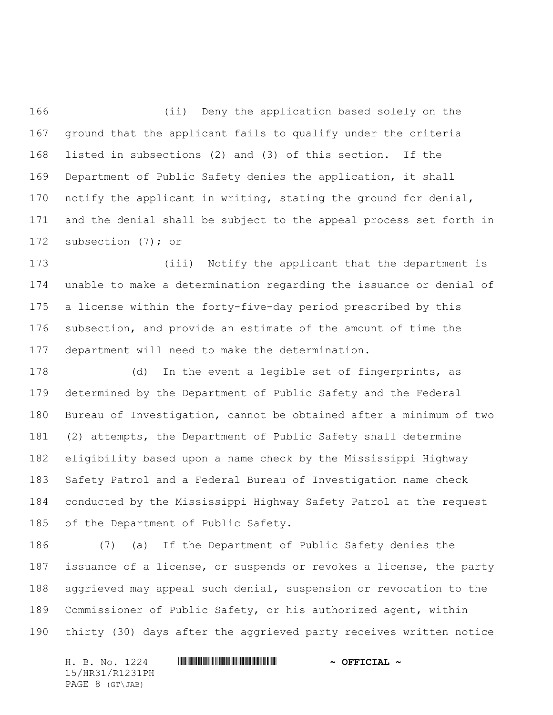(ii) Deny the application based solely on the ground that the applicant fails to qualify under the criteria listed in subsections (2) and (3) of this section. If the Department of Public Safety denies the application, it shall notify the applicant in writing, stating the ground for denial, and the denial shall be subject to the appeal process set forth in 172 subsection (7); or

 (iii) Notify the applicant that the department is unable to make a determination regarding the issuance or denial of a license within the forty-five-day period prescribed by this subsection, and provide an estimate of the amount of time the department will need to make the determination.

 (d) In the event a legible set of fingerprints, as determined by the Department of Public Safety and the Federal Bureau of Investigation, cannot be obtained after a minimum of two (2) attempts, the Department of Public Safety shall determine eligibility based upon a name check by the Mississippi Highway Safety Patrol and a Federal Bureau of Investigation name check conducted by the Mississippi Highway Safety Patrol at the request of the Department of Public Safety.

 (7) (a) If the Department of Public Safety denies the issuance of a license, or suspends or revokes a license, the party aggrieved may appeal such denial, suspension or revocation to the Commissioner of Public Safety, or his authorized agent, within thirty (30) days after the aggrieved party receives written notice

H. B. No. 1224 \*HR31/R1231PH\* **~ OFFICIAL ~** 15/HR31/R1231PH PAGE 8 (GT\JAB)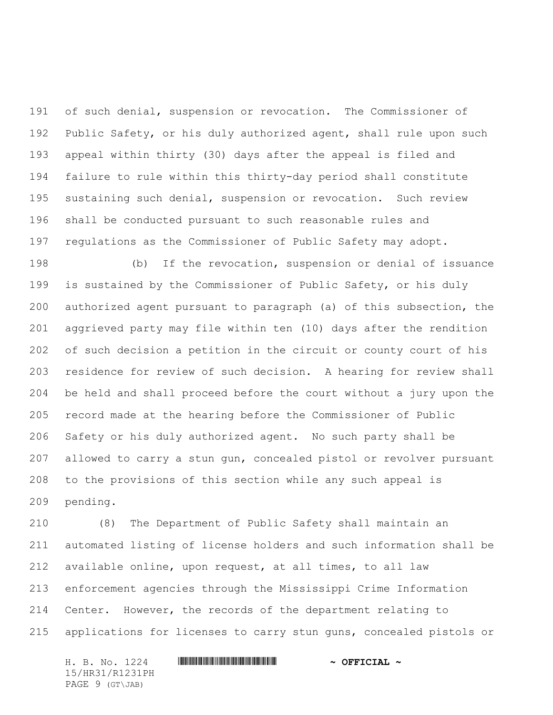of such denial, suspension or revocation. The Commissioner of Public Safety, or his duly authorized agent, shall rule upon such appeal within thirty (30) days after the appeal is filed and failure to rule within this thirty-day period shall constitute sustaining such denial, suspension or revocation. Such review shall be conducted pursuant to such reasonable rules and regulations as the Commissioner of Public Safety may adopt.

 (b) If the revocation, suspension or denial of issuance is sustained by the Commissioner of Public Safety, or his duly authorized agent pursuant to paragraph (a) of this subsection, the aggrieved party may file within ten (10) days after the rendition of such decision a petition in the circuit or county court of his residence for review of such decision. A hearing for review shall be held and shall proceed before the court without a jury upon the record made at the hearing before the Commissioner of Public Safety or his duly authorized agent. No such party shall be allowed to carry a stun gun, concealed pistol or revolver pursuant to the provisions of this section while any such appeal is pending.

 (8) The Department of Public Safety shall maintain an automated listing of license holders and such information shall be available online, upon request, at all times, to all law enforcement agencies through the Mississippi Crime Information Center. However, the records of the department relating to applications for licenses to carry stun guns, concealed pistols or

H. B. No. 1224 **HRANGINING COMMUNISION ASSESSED A official** ~ 15/HR31/R1231PH PAGE 9 (GT\JAB)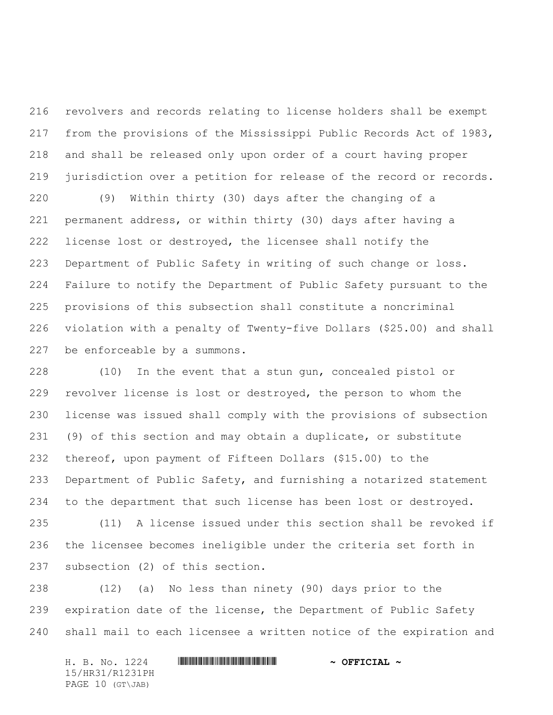revolvers and records relating to license holders shall be exempt from the provisions of the Mississippi Public Records Act of 1983, and shall be released only upon order of a court having proper jurisdiction over a petition for release of the record or records.

 (9) Within thirty (30) days after the changing of a permanent address, or within thirty (30) days after having a license lost or destroyed, the licensee shall notify the Department of Public Safety in writing of such change or loss. Failure to notify the Department of Public Safety pursuant to the provisions of this subsection shall constitute a noncriminal violation with a penalty of Twenty-five Dollars (\$25.00) and shall be enforceable by a summons.

 (10) In the event that a stun gun, concealed pistol or revolver license is lost or destroyed, the person to whom the license was issued shall comply with the provisions of subsection (9) of this section and may obtain a duplicate, or substitute thereof, upon payment of Fifteen Dollars (\$15.00) to the Department of Public Safety, and furnishing a notarized statement to the department that such license has been lost or destroyed.

 (11) A license issued under this section shall be revoked if the licensee becomes ineligible under the criteria set forth in subsection (2) of this section.

 (12) (a) No less than ninety (90) days prior to the 239 expiration date of the license, the Department of Public Safety shall mail to each licensee a written notice of the expiration and

H. B. No. 1224 \*HR31/R1231PH\* **~ OFFICIAL ~** 15/HR31/R1231PH PAGE 10 (GT\JAB)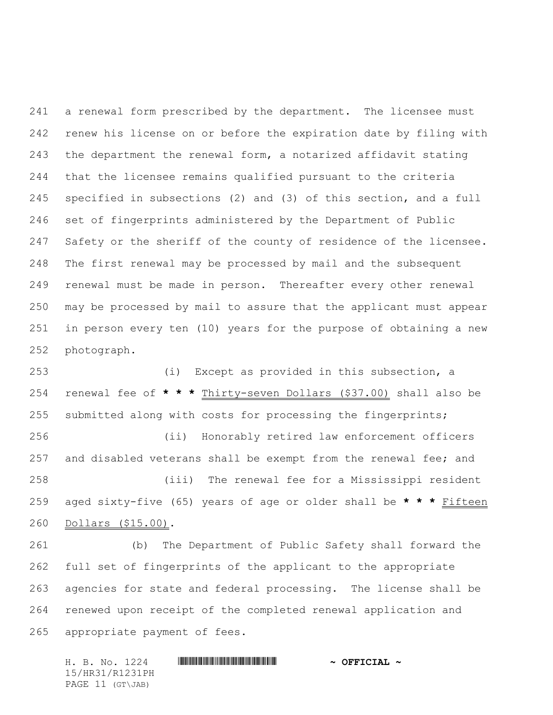a renewal form prescribed by the department. The licensee must renew his license on or before the expiration date by filing with the department the renewal form, a notarized affidavit stating that the licensee remains qualified pursuant to the criteria specified in subsections (2) and (3) of this section, and a full set of fingerprints administered by the Department of Public 247 Safety or the sheriff of the county of residence of the licensee. The first renewal may be processed by mail and the subsequent renewal must be made in person. Thereafter every other renewal may be processed by mail to assure that the applicant must appear in person every ten (10) years for the purpose of obtaining a new photograph.

 (i) Except as provided in this subsection, a renewal fee of **\* \* \*** Thirty-seven Dollars (\$37.00) shall also be submitted along with costs for processing the fingerprints; (ii) Honorably retired law enforcement officers and disabled veterans shall be exempt from the renewal fee; and (iii) The renewal fee for a Mississippi resident aged sixty-five (65) years of age or older shall be **\* \* \*** Fifteen Dollars (\$15.00).

 (b) The Department of Public Safety shall forward the full set of fingerprints of the applicant to the appropriate agencies for state and federal processing. The license shall be renewed upon receipt of the completed renewal application and appropriate payment of fees.

H. B. No. 1224 **HR31/R1231PH \* \* OFFICIAL ~** 15/HR31/R1231PH PAGE 11 (GT\JAB)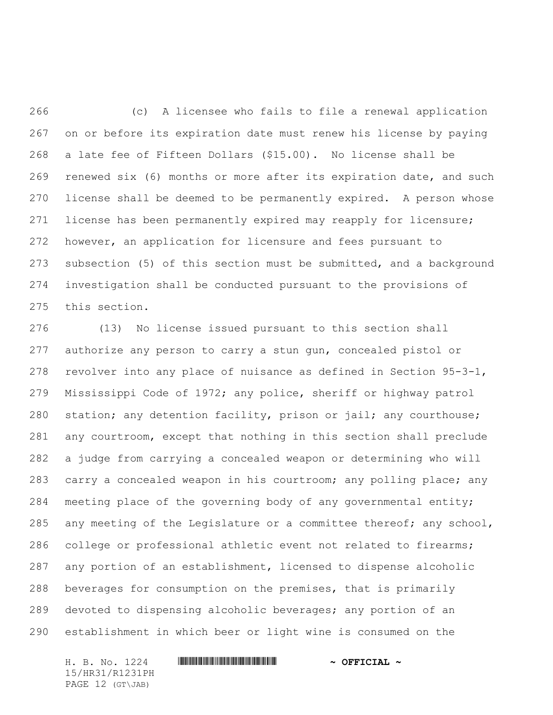(c) A licensee who fails to file a renewal application on or before its expiration date must renew his license by paying a late fee of Fifteen Dollars (\$15.00). No license shall be renewed six (6) months or more after its expiration date, and such license shall be deemed to be permanently expired. A person whose license has been permanently expired may reapply for licensure; however, an application for licensure and fees pursuant to subsection (5) of this section must be submitted, and a background investigation shall be conducted pursuant to the provisions of this section.

 (13) No license issued pursuant to this section shall authorize any person to carry a stun gun, concealed pistol or revolver into any place of nuisance as defined in Section 95-3-1, Mississippi Code of 1972; any police, sheriff or highway patrol station; any detention facility, prison or jail; any courthouse; any courtroom, except that nothing in this section shall preclude a judge from carrying a concealed weapon or determining who will carry a concealed weapon in his courtroom; any polling place; any meeting place of the governing body of any governmental entity; 285 any meeting of the Legislature or a committee thereof; any school, college or professional athletic event not related to firearms; any portion of an establishment, licensed to dispense alcoholic beverages for consumption on the premises, that is primarily devoted to dispensing alcoholic beverages; any portion of an establishment in which beer or light wine is consumed on the

H. B. No. 1224 **HRANGINING COMMUNISION ASSESSED A official** ~ 15/HR31/R1231PH PAGE 12 (GT\JAB)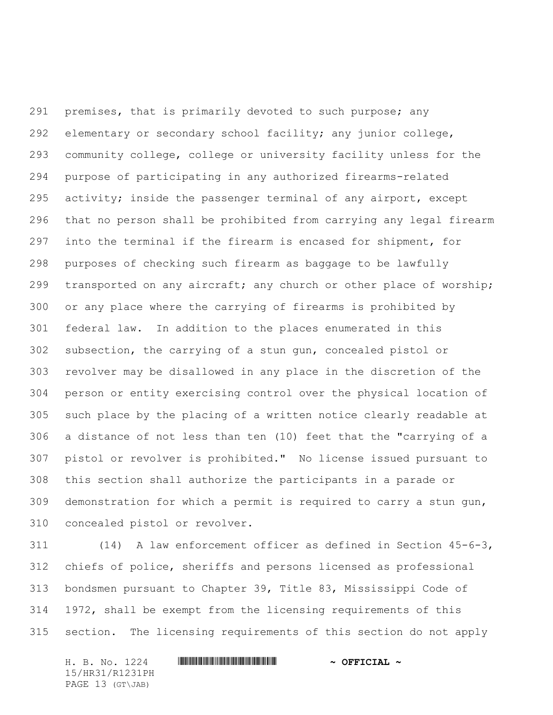premises, that is primarily devoted to such purpose; any elementary or secondary school facility; any junior college, community college, college or university facility unless for the purpose of participating in any authorized firearms-related activity; inside the passenger terminal of any airport, except that no person shall be prohibited from carrying any legal firearm into the terminal if the firearm is encased for shipment, for purposes of checking such firearm as baggage to be lawfully transported on any aircraft; any church or other place of worship; or any place where the carrying of firearms is prohibited by federal law. In addition to the places enumerated in this subsection, the carrying of a stun gun, concealed pistol or revolver may be disallowed in any place in the discretion of the person or entity exercising control over the physical location of such place by the placing of a written notice clearly readable at a distance of not less than ten (10) feet that the "carrying of a pistol or revolver is prohibited." No license issued pursuant to this section shall authorize the participants in a parade or demonstration for which a permit is required to carry a stun gun, concealed pistol or revolver.

 (14) A law enforcement officer as defined in Section 45-6-3, chiefs of police, sheriffs and persons licensed as professional bondsmen pursuant to Chapter 39, Title 83, Mississippi Code of 1972, shall be exempt from the licensing requirements of this section. The licensing requirements of this section do not apply

H. B. No. 1224 \*HR31/R1231PH\* **~ OFFICIAL ~** 15/HR31/R1231PH PAGE 13 (GT\JAB)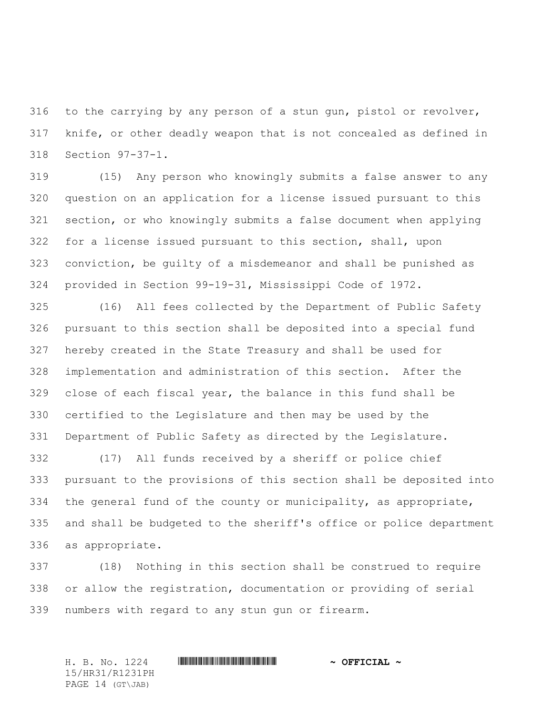to the carrying by any person of a stun gun, pistol or revolver, knife, or other deadly weapon that is not concealed as defined in Section 97-37-1.

 (15) Any person who knowingly submits a false answer to any question on an application for a license issued pursuant to this section, or who knowingly submits a false document when applying for a license issued pursuant to this section, shall, upon conviction, be guilty of a misdemeanor and shall be punished as provided in Section 99-19-31, Mississippi Code of 1972.

 (16) All fees collected by the Department of Public Safety pursuant to this section shall be deposited into a special fund hereby created in the State Treasury and shall be used for implementation and administration of this section. After the close of each fiscal year, the balance in this fund shall be certified to the Legislature and then may be used by the Department of Public Safety as directed by the Legislature.

 (17) All funds received by a sheriff or police chief pursuant to the provisions of this section shall be deposited into the general fund of the county or municipality, as appropriate, and shall be budgeted to the sheriff's office or police department as appropriate.

 (18) Nothing in this section shall be construed to require or allow the registration, documentation or providing of serial numbers with regard to any stun gun or firearm.

H. B. No. 1224 \*HR31/R1231PH\* **~ OFFICIAL ~** 15/HR31/R1231PH PAGE 14 (GT\JAB)